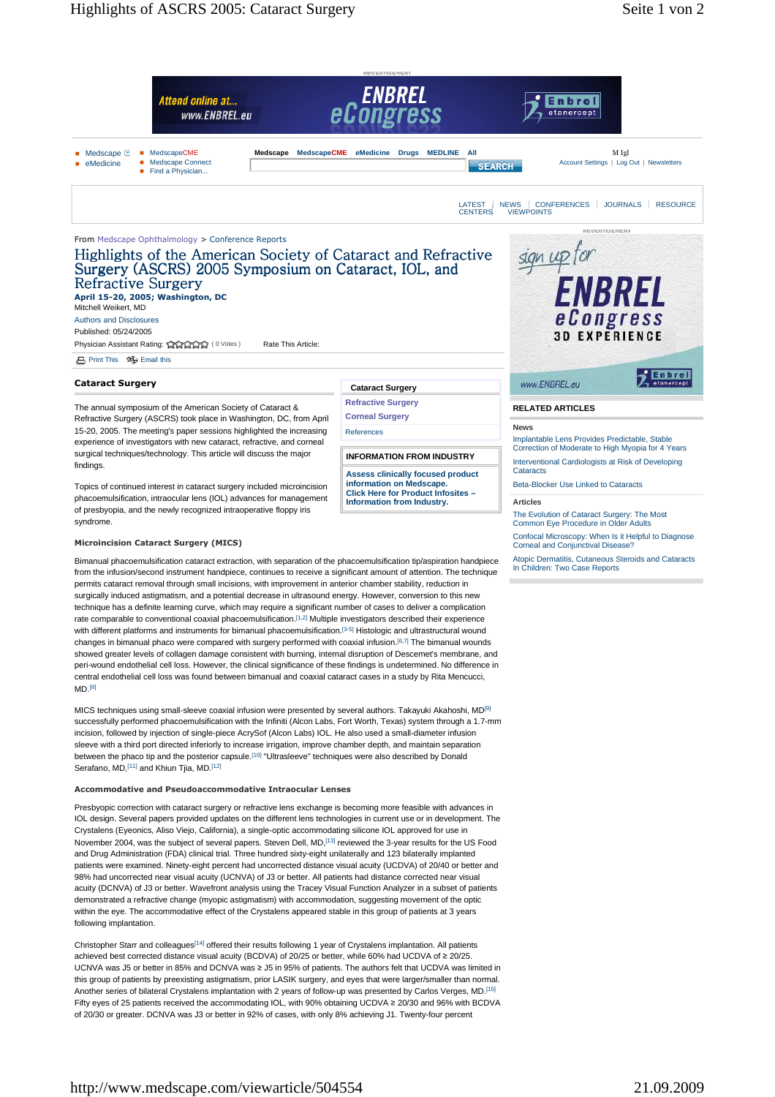

## $MD<sub>8</sub>$

MICS techniques using small-sleeve coaxial infusion were presented by several authors. Takayuki Akahoshi, MD[9] successfully performed phacoemulsification with the Infiniti (Alcon Labs, Fort Worth, Texas) system through a 1.7-mm incision, followed by injection of single-piece AcrySof (Alcon Labs) IOL. He also used a small-diameter infusion sleeve with a third port directed inferiorly to increase irrigation, improve chamber depth, and maintain separation between the phaco tip and the posterior capsule.[10] "Ultrasleeve" techniques were also described by Donald Serafano, MD, <a>[11]</a> and Khiun Tjia, MD.<a>[12]</a>

## **Accommodative and Pseudoaccommodative Intraocular Lenses**

Presbyopic correction with cataract surgery or refractive lens exchange is becoming more feasible with advances in IOL design. Several papers provided updates on the different lens technologies in current use or in development. The Crystalens (Eyeonics, Aliso Viejo, California), a single-optic accommodating silicone IOL approved for use in November 2004, was the subject of several papers. Steven Dell, MD,[13] reviewed the 3-year results for the US Food and Drug Administration (FDA) clinical trial. Three hundred sixty-eight unilaterally and 123 bilaterally implanted patients were examined. Ninety-eight percent had uncorrected distance visual acuity (UCDVA) of 20/40 or better and 98% had uncorrected near visual acuity (UCNVA) of J3 or better. All patients had distance corrected near visual acuity (DCNVA) of J3 or better. Wavefront analysis using the Tracey Visual Function Analyzer in a subset of patients demonstrated a refractive change (myopic astigmatism) with accommodation, suggesting movement of the optic within the eye. The accommodative effect of the Crystalens appeared stable in this group of patients at 3 years following implantation.

Christopher Starr and colleagues<sup>[14]</sup> offered their results following 1 year of Crystalens implantation. All patients achieved best corrected distance visual acuity (BCDVA) of 20/25 or better, while 60% had UCDVA of ≥ 20/25. UCNVA was J5 or better in 85% and DCNVA was ≥ J5 in 95% of patients. The authors felt that UCDVA was limited in this group of patients by preexisting astigmatism, prior LASIK surgery, and eyes that were larger/smaller than normal. Another series of bilateral Crystalens implantation with 2 years of follow-up was presented by Carlos Verges, MD.[15] Fifty eyes of 25 patients received the accommodating IOL, with 90% obtaining UCDVA ≥ 20/30 and 96% with BCDVA of 20/30 or greater. DCNVA was J3 or better in 92% of cases, with only 8% achieving J1. Twenty-four percent